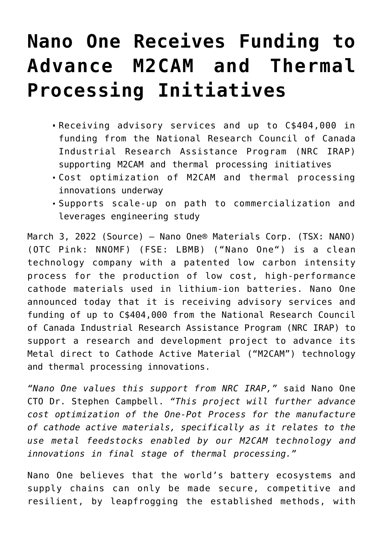## **[Nano One Receives Funding to](https://investorintel.com/markets/cleantech/cleantech-news/nano-one-receives-funding-to-advance-m2cam-and-thermal-processing-initiatives/) [Advance M2CAM and Thermal](https://investorintel.com/markets/cleantech/cleantech-news/nano-one-receives-funding-to-advance-m2cam-and-thermal-processing-initiatives/) [Processing Initiatives](https://investorintel.com/markets/cleantech/cleantech-news/nano-one-receives-funding-to-advance-m2cam-and-thermal-processing-initiatives/)**

- Receiving advisory services and up to C\$404,000 in funding from the National Research Council of Canada Industrial Research Assistance Program (NRC IRAP) supporting M2CAM and thermal processing initiatives
- Cost optimization of M2CAM and thermal processing innovations underway
- Supports scale-up on path to commercialization and leverages engineering study

March 3, 2022 [\(Source](https://www.newsfilecorp.com/release/115514/Nano-One-Receives-Funding-to-Advance-M2CAM-and-Thermal-Processing-Initiatives)) — Nano One® Materials Corp. (TSX: NANO) (OTC Pink: NNOMF) (FSE: LBMB) ("[Nano One"](https://www.newsfilecorp.com/redirect/q3NaKIoPox)) is a clean technology company with a patented low carbon intensity process for the production of low cost, high-performance cathode materials used in lithium-ion batteries. Nano One announced today that it is receiving advisory services and funding of up to C\$404,000 from the National Research Council of Canada Industrial Research Assistance Program (NRC IRAP) to support a research and development project to advance its Metal direct to Cathode Active Material ("M2CAM") technology and thermal processing innovations.

*"Nano One values this support from NRC IRAP,"* said Nano One CTO Dr. Stephen Campbell. *"This project will further advance cost optimization of the One-Pot Process for the manufacture of cathode active materials, specifically as it relates to the use metal feedstocks enabled by our M2CAM technology and innovations in final stage of thermal processing."*

Nano One believes that the world's battery ecosystems and supply chains can only be made secure, competitive and resilient, by leapfrogging the established methods, with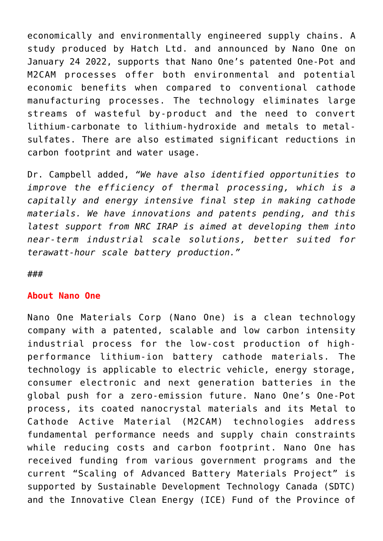economically and environmentally engineered supply chains. A study produced by Hatch Ltd. and announced by Nano One on January 24 2022, supports that Nano One's patented One-Pot and M2CAM processes offer both environmental and potential economic benefits when compared to conventional cathode manufacturing processes. The technology eliminates large streams of wasteful by-product and the need to convert lithium-carbonate to lithium-hydroxide and metals to metalsulfates. There are also estimated significant reductions in carbon footprint and water usage.

Dr. Campbell added, *"We have also identified opportunities to improve the efficiency of thermal processing, which is a capitally and energy intensive final step in making cathode materials. We have innovations and patents pending, and this latest support from NRC IRAP is aimed at developing them into near-term industrial scale solutions, better suited for terawatt-hour scale battery production."*

###

## **About Nano One**

Nano One Materials Corp (Nano One) is a clean technology company with a patented, scalable and low carbon intensity industrial process for the low-cost production of highperformance lithium-ion battery cathode materials. The technology is applicable to electric vehicle, energy storage, consumer electronic and next generation batteries in the global push for a zero-emission future. Nano One's One-Pot process, its coated nanocrystal materials and its Metal to Cathode Active Material (M2CAM) technologies address fundamental performance needs and supply chain constraints while reducing costs and carbon footprint. Nano One has received funding from various government programs and the current "Scaling of Advanced Battery Materials Project" is supported by Sustainable Development Technology Canada (SDTC) and the Innovative Clean Energy (ICE) Fund of the Province of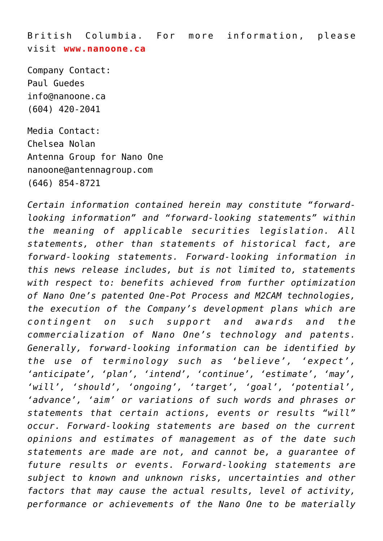British Columbia. For more information, please visit **[www.nanoone.ca](https://www.newsfilecorp.com/redirect/nv2a1SPQPg)**

Company Contact: Paul Guedes [info@nanoone.ca](mailto:info@nanoone.ca) (604) 420-2041

Media Contact: Chelsea Nolan Antenna Group for Nano One [nanoone@antennagroup.com](mailto:nanoone@antennagroup.com) (646) 854-8721

*Certain information contained herein may constitute "forwardlooking information" and "forward-looking statements" within the meaning of applicable securities legislation. All statements, other than statements of historical fact, are forward-looking statements. Forward-looking information in this news release includes, but is not limited to, statements with respect to: benefits achieved from further optimization of Nano One's patented One-Pot Process and M2CAM technologies, the execution of the Company's development plans which are contingent on such support and awards and the commercialization of Nano One's technology and patents. Generally, forward-looking information can be identified by the use of terminology such as 'believe', 'expect', 'anticipate', 'plan', 'intend', 'continue', 'estimate', 'may', 'will', 'should', 'ongoing', 'target', 'goal', 'potential', 'advance', 'aim' or variations of such words and phrases or statements that certain actions, events or results "will" occur. Forward-looking statements are based on the current opinions and estimates of management as of the date such statements are made are not, and cannot be, a guarantee of future results or events. Forward-looking statements are subject to known and unknown risks, uncertainties and other factors that may cause the actual results, level of activity, performance or achievements of the Nano One to be materially*